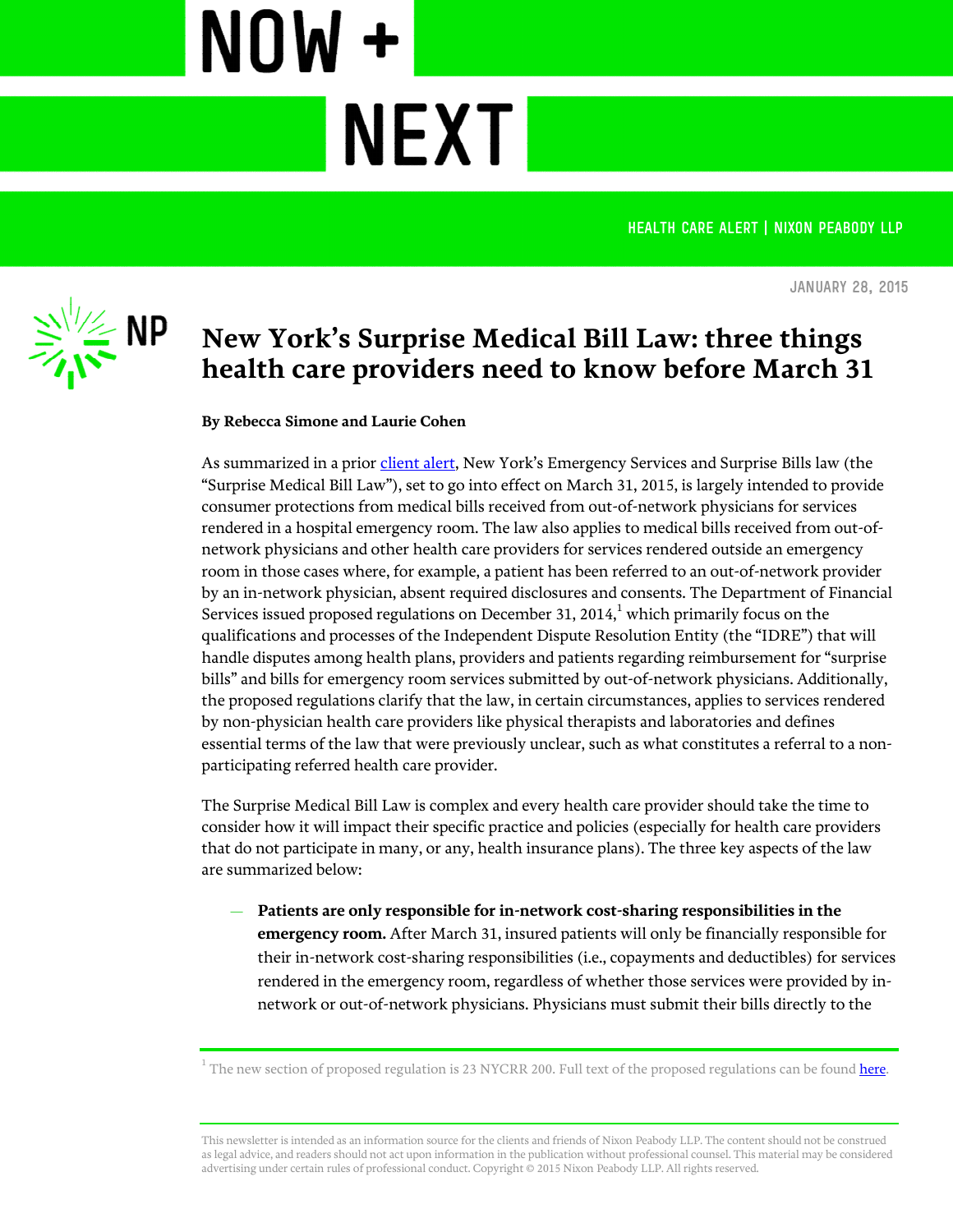**Health CARE ALERT | Nixon Peabody LLP**



**January 28, 2015**

## **New York's Surprise Medical Bill Law: three things health care providers need to know before March 31**

**NEXT** 

**By Rebecca Simone and Laurie Cohen**

NOW +

As summarized in a prior [client alert](http://www.nixonpeabody.com/new_york_surprise_medical_bill_law), New York's Emergency Services and Surprise Bills law (the "Surprise Medical Bill Law"), set to go into effect on March 31, 2015, is largely intended to provide consumer protections from medical bills received from out-of-network physicians for services rendered in a hospital emergency room. The law also applies to medical bills received from out-ofnetwork physicians and other health care providers for services rendered outside an emergency room in those cases where, for example, a patient has been referred to an out-of-network provider by an in-network physician, absent required disclosures and consents. The Department of Financial Services issued proposed regulations on December 31, 2014, $1$  which primarily focus on the qualifications and processes of the Independent Dispute Resolution Entity (the "IDRE") that will handle disputes among health plans, providers and patients regarding reimbursement for "surprise bills" and bills for emergency room services submitted by out-of-network physicians. Additionally, the proposed regulations clarify that the law, in certain circumstances, applies to services rendered by non-physician health care providers like physical therapists and laboratories and defines essential terms of the law that were previously unclear, such as what constitutes a referral to a nonparticipating referred health care provider.

The Surprise Medical Bill Law is complex and every health care provider should take the time to consider how it will impact their specific practice and policies (especially for health care providers that do not participate in many, or any, health insurance plans). The three key aspects of the law are summarized below:

— **Patients are only responsible for in-network cost-sharing responsibilities in the emergency room.** After March 31, insured patients will only be financially responsible for their in-network cost-sharing responsibilities (i.e., copayments and deductibles) for services rendered in the emergency room, regardless of whether those services were provided by innetwork or out-of-network physicians. Physicians must submit their bills directly to the

 $^{\rm 1}$  The new section of proposed regulation is 23 NYCRR 200. Full text of the proposed regulations can be found  $\rm{here}$  $\rm{here}$  $\rm{here}$ .

This newsletter is intended as an information source for the clients and friends of Nixon Peabody LLP. The content should not be construed as legal advice, and readers should not act upon information in the publication without professional counsel. This material may be considered advertising under certain rules of professional conduct. Copyright © 2015 Nixon Peabody LLP. All rights reserved.